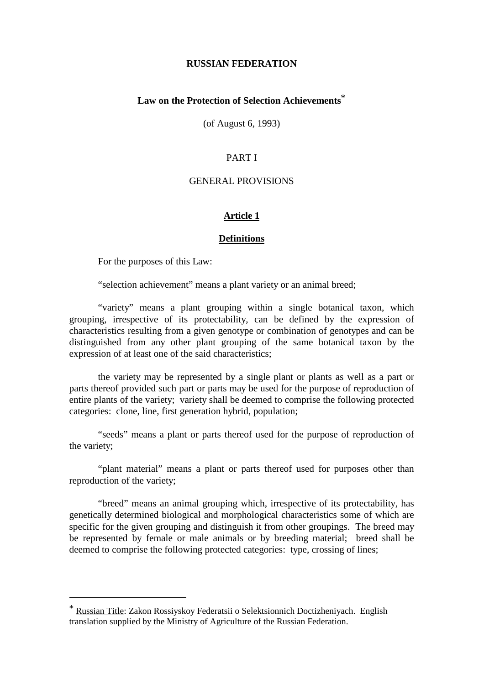#### **RUSSIANFEDERATION**

# **Law on the Protection of Selection Achievements** \*

 $(of August 6, 1993)$ 

#### **PARTI**

#### **GENERAL PROVISIONS**

#### **Article 1**

#### **Definitions**

For the purposes of this Law:

"selection achievement" means a plant variety or an animal breed;

"variety" means a plant grouping within a single botanical taxon, which grouping, irrespective of its protectability, can be defined by the expression of characteristics resulting from a given genotype or combination of genotypes and can be distinguished from any other plant grouping of the same botanical taxon by the expression of at least one of the said characteristics;

the variety may be represented by a single plant or plants as well as a part or parts thereof provided such part or parts may be used for the p urpose of reproduction of entire plants of the variety; variety shall be deemed to comprise the following protected categories: clone, line, first generation hybrid, population;

"seeds" means a plant or parts thereof used for the purpose of reproduction of the variety:

"plant material" means a plant or parts thereof used for purposes other than reproduction of the variety;

"breed" means an animal grouping which, irrespective of its protectability, has genetically determined biological and morphologi cal characteristics some of which are specific for the given grouping and distinguish it from other groupings. The breed may be represented by female or male animals or by breeding material; breed shall be deemed to comprise the following protected categories: type, crossing of lines;

<sup>\*</sup> Russian Title : Zakon Rossiyskoy Federatsii o Selektsionnich Doctizheniyach. English translation supplied by the Ministry of Agriculture of the Russian Federation.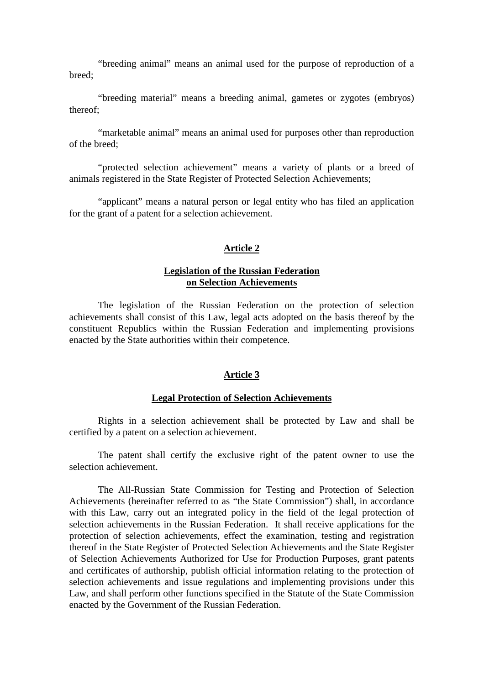"breeding animal" means an animal used for the purpose of reproduction of a breed;

"breeding material" means a breeding animal, gametes or zygotes (embryos) thereof;

"marketable animal" means an animal used for purpos esother than reproduction of the breed:

"protected selection achievement" means a variety of plants or a breed of animals registered in the State Register of Protected Selection Achievements;

"applicant" means a natural person or legal entity who has filed an application for the grant of a patent for a selection achievement.

# **Article 2**

# **Legislation of the Russian Federation on Selection Achievements**

The legislation of the Russian Federation on the protection of selection achievements shall consist o f this Law, legal acts adopted on the basis thereof by the constituent Republics within the Russian Federation and implementing provisions enacted by the State authorities with in their competence.

# **Article 3**

#### **Legal Protection of Selection Achievements**

Rights in a selection achievement shall be protected by Law and shall be certified by a patent on a selection achievement.

The patent shall certify the exclusive right of the patent owner to use the selection achievement.

The All -Russian State Commissio n for Testing and Protection of Selection Achievements (hereinafter referred to as "the State Commission") shall, in accordance with this Law, carry out an integrated policy in the field of the legal protection of selection achievements in the Russian Federation. It shall receive applications for the protection of selection achievements, effect the examination, testing and registration thereof in the State Register of Protected Selection Achievements and the State Register of Selection Achievements Authori zed for Use for Production Purposes, grant patents and certificates of authorship, publish official information relating to the protection of selection achievements and issue regulations and implementing provisions under this Law, and shall perform other functions specified in the Statute of the State Commission enacted by the Government of the Russian Federation.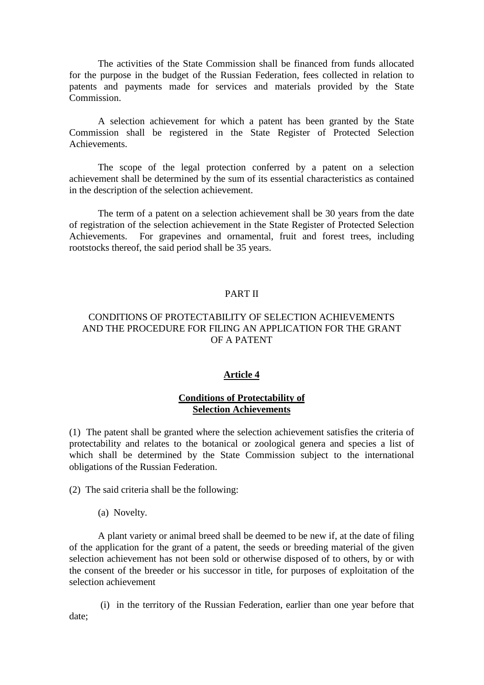The activities of the State Commission shall be financed from funds allocated for the purpose in the budget of the Russian Federation, fees col lected in relation to patents and payments made for services and materials provided by the State Commission.

A selection achievement for which a patent has been granted by the State Commission shall be registered in the State Register of Protected Selection Achievements.

The scope of the legal protection conferred by a patent on a selection achievement shall be determined by the sum of its essential characteristics as contained in the description of the selection achievement.

The term of a patent on a selection achievement shall be 30 years from the date of registration of the selection achievement in the State Register of Protected Selection Achievements. For grapevines and ornamental, fruit and forest trees, including rootstocks thereof, the said period shall be 35 years.

# **PARTII**

# CONDITIONS OF PROTECTABILITY OF SELECTION ACHIEVEMENTS AND THE PROCEDURE FOR FILING AN APPLICATION FOR THE GRANT **OFAPATENT**

# **Article4**

# **Conditions of Protectability of Selection Achievements**

(1) The patent shall be g ranted where the selection achievement satisfies the criteria of protectability and relates to the botanical or zoological genera and species a list of which shall be determined by the State Commission subject to the international obligations of the Russian Federation.

(2) The said criteria shall be the following:

(a) Novelty.

A plant variety or animal breed shall be deemed to be new if, at the date of filing of the application for the grant of a patent, the seeds or breeding material of the given selection achievement has not been sold or otherwise disposed of to others, by or with the consent of the breeder or his successor in title, for purposes of exploitation of the selection achievement

 (i) in the territory of the Russian Federation, earlier than one year before that date;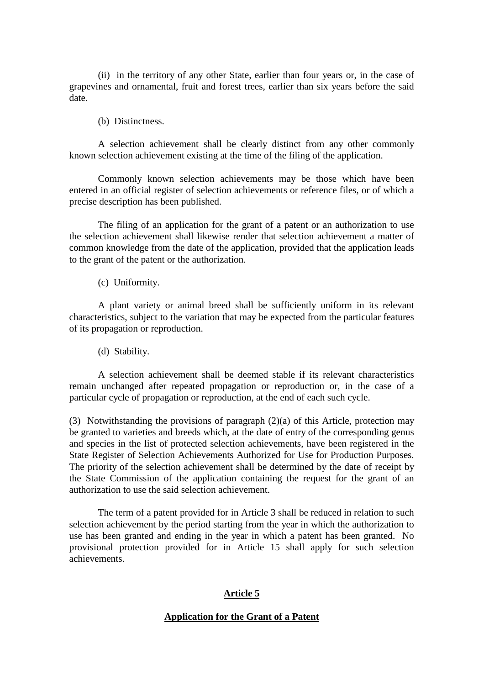(ii) in the territory of any other State, earlier than four years or, in the case of grapevines and ornamental, fruit and forest trees, earlier than six years before the said date.

(b) Distinctness.

A selection achi evement shall be clearly distinct from any other commonly known selection achievement existing at the time of the filing of the application.

Commonly known selection achievements may be those which have been entered in an official register of selection achievements or reference files, or of which a precisedescription has been published.

The filing of an application for the grant of a patent or an authorization to use the selection achievement shall likewise render that selection achievement a matter of common knowledge from the date of the application, provided that the application leads to the grant of the patent or the authorization.

(c) Uniformity.

A plant variety or animal breed shall be sufficiently uniform in its relevant characteristics, subject to the variation that may be expected from the particular features of its propagation or reproduction.

(d) Stability.

A selection achievement shall be deemed stable if its relevant characteristics remain unchanged after repeated propagation or re production or, in the case of a particular cycle of propagation or reproduction, at the end of each such cycle.

(3) Notwithstanding the provisions of paragraph (2)(a) of this Article, protection may be granted to varieties and breeds which, at the date of entry of the corresponding genus and species in the list of protected selection achievements, have been registered in the State Register of Selection Achievements Authorized for Use for Production Purposes. The priority of the selection achievementshal lbe determined by the date of receipt by the State Commission of the application containing the request for the grant of an authorization to use the said selection achievement.

The term of a patent provided for in Article 3 shall be reduced in relation to such selection achievement by the period starting from the year in which the authorization to use has been granted and ending in the year in which a patent has been granted. No provisional protection provided for in Article 15 shall apply for such sele ction achievements.

# Article<sub>5</sub>

# **Application for the Grant of a Patent**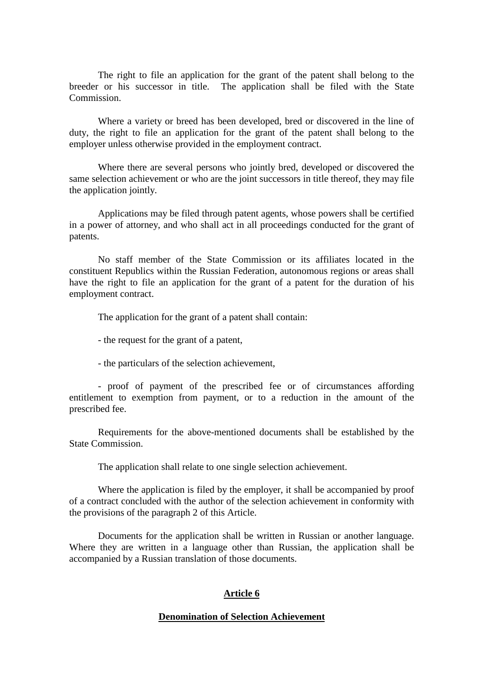The right to file an application for the grant of the patent shall belong to the breeder or his successor in title. The application shall be filed with the State Commission.

Where a variety or breed has been developed, bred or discovered in the line of duty, the right to file an application for the grant of the patent shall belong to the employerunlessotherwise provided in the employment contract.

Where there are several persons who jointly bred, developed or discovered the same selection achievement or who are the joint successors in title thereof, they may file the application jointly.

Applications may be filed through patent agents, whose powers shall be certified in a power of attorney, and who shall act in all proceedings conducted for the grant of patents.

No staff member of the State Commission or its affiliates located in the constituent Republics within the Russian Federation, autonomous regions or areas shall have th e right to file an application for the grant of a patent for the duration of his employment contract.

The application for the grant of a patent shall contain:

-the request for the grant of a patent,

-the particulars of the selection achievement,

- proof of payment of the prescribed fee or of circumstances affording entitlement to exemption from payment, or to a reduction in the amount of the prescribed fee.

Requirements for the above -mentioned documents shall be established by the State Commissi on.

The application shall relate to one single selection achievement.

Where the application is filed by the employer, it shall be accompanied by proof of a contract concluded with the author of the selection achievement in conformity with the provisions of the paragraph 2 of this Article.

Documents for the application shall be written in Russian or another language. Where they are written in a language other than Russian, the application shall be accompanied by a Russian translation of those document s.

#### Article6

#### **Denomination of Selection Achievement**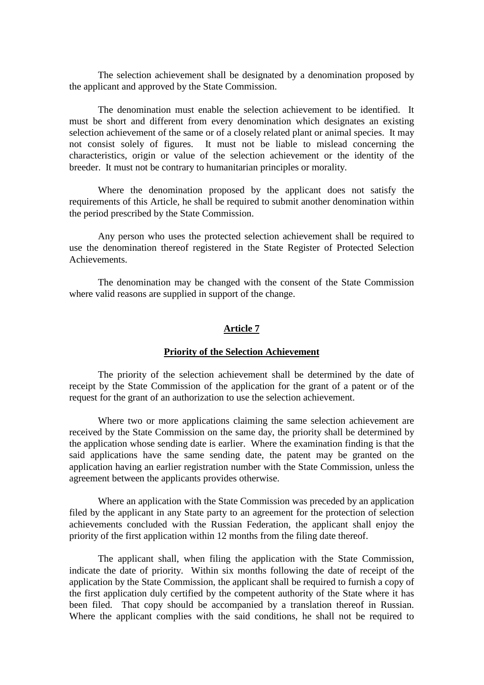The selection achievement shall be designated by a denomination proposed by the applicant and approved by the State Commission.

The denomination must enable the selection achievement to be identified. It must be short and different from every denomination which designates an existing selection achievement of the same or of a closely related plant or animal species. It may not consist solely of figures. It must not be liable to mislead concerning t he characteristics, origin or value of the selection achievement or the identity of the breeder. It must not be contrary to humanitarian principles or morality.

Where the denomination proposed by the applicant does not satisfy the requirements of this Article, he shall be required to submit another denomination within the period prescribed by the State Commission.

Any person who uses the protected selection achievement shall be required to use the denomination thereof registered in the State Register o f Protected Selection Achievements.

The denomination may be changed with the consent of the State Commission where valid reasons are supplied in support of the change.

#### **Article 7**

#### **Priority of the Selection Achievement**

The priority of the selection achievement shall be determined by the date of receipt by the State Commission of the application for the grant of a patent or of the request for the grant of an authorization to use these lection achievement.

Where two or more applications claiming the sam e selection achievement are received by the State Commission on the same day, the priority shall be determined by the application whose sending date is earlier. Where the examination finding is that the said applications have the same sending date, the patent may be granted on the application having an earlier registration number with the State Commission, unless the agreement between the applicants provides otherwise.

Where an application with the State Commission was preceded by an application filed by the applicant in any State party to an agreement for the protection of selection achievements concluded with the Russian Federation, the applicant shall enjoy the priority of the first application within 12 months from the filing date thereof.

The applicant shall, when filing the application with the State Commission, indicate the date of priority. Within six months following the date of receipt of the application by the State Commission, the applicant shall be required to furnish a copy of the first ap plication duly certified by the competent authority of the State where it has been filed. That copy should be accompanied by a translation thereof in Russian. Where the applicant complies with the said conditions, he shall not be required to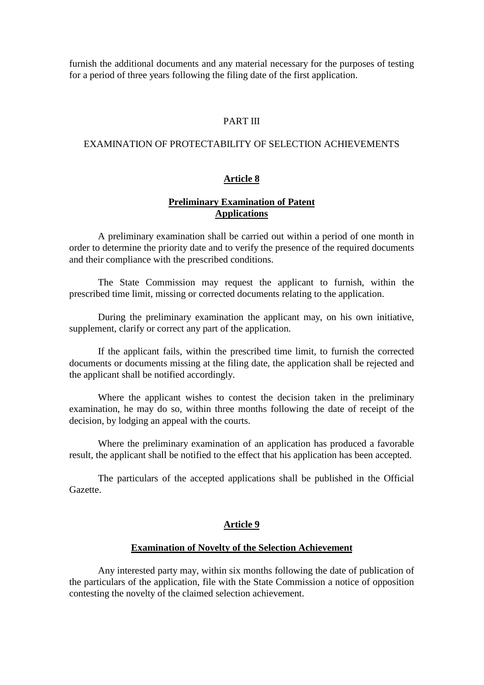furnish the additional documents and any material necessary for the purposes of testing for a period of three years following the filing date of the first application.

# **PARTIII**

#### EXAMINATION OF PROTECTABILITY OF SELECTION ACHIEVEMENTS

#### **Article 8**

# **Preliminary Examin ation of Patent Applications**

A preliminary examination shall be carried out within a period of one month in order to determine the priority date and to verify the presence of the required documents and their compliance with the prescribed conditions.

The State Commission may request the applicant to furnish, within the prescribed time limit, missing or corrected documents relating to the application.

During the preliminary examination the applicant may, on his own initiative, supplement, clarify or correct any part of the application.

If the applicant fails, within the prescribed time limit, to furnish the corrected documents or documents missing at the filing date, the application shall be rejected and the applicant shall be notified accordingly.

Where the applicant wishes to contest the decision taken in the preliminary examination, he may do so, within three months following the date of receipt of the decision, by lodging an appeal with the courts.

Where the preliminary examination of an applic ation has produced a favorable result, the applicant shall be notified to the effect that his application has been accepted.

The particulars of the accepted applications shall be published in the Official Gazette.

#### Article9

#### **Examination of Novelty of the Selection Achievement**

Any interested party may, within six months following the date of publication of the particulars of the application, file with the State Commission anotice of opposition contesting the novelty of the claims disclusion achievemen t.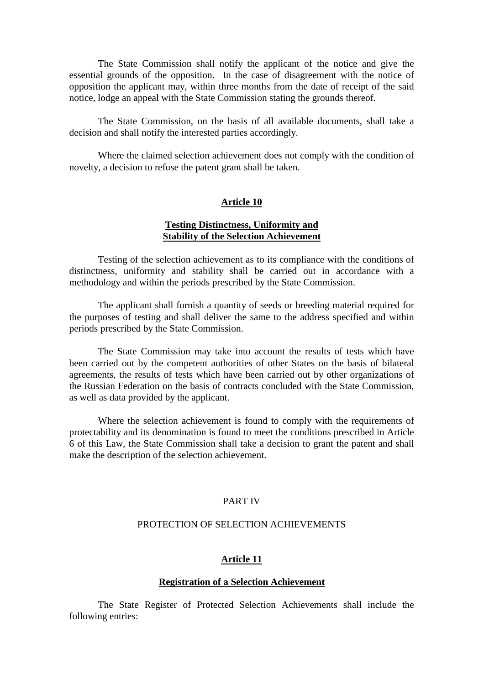The State Commission shall notify the applicant of the notice and give the essential grounds of the opposition. In the case of disagreement with the notice of opposition the applicant may, within three months from the date of receipt of the said notice, lodge an appeal with the State Commission stating the grounds thereof.

The State Commission, on the basis of all available documents, shall take a decision and shall notify the interested parties accordingly.

Where the claimed selection achievement does not comply with the condition of novelty, a decision to refuse the patent grantshall be taken.

# **Article 10**

# **Testing Distinctness, Uniformity and Stability of the Selection Achievement**

Testing of the selection achievement as to its compliance with the conditions of distinctness, uniformity and stability shall be carried out in accordance with a methodology and within the period sprescribed by the State Commission.

The applicant shall furnish a quantity of seeds or breeding material required for the purposes of testing and shall deliver the same to the address specified and within periods prescribed by the State Commission.

The State Commission may take into account the results of tests which have been carried out by the competent authorities of other States on the basis of bilateral agreements, the results of tests which have been carried out by other organizations of the Russian Federation on the basis of contracts concluded with the State Commission, as well as data provided by the applicant.

Where the selection achievement is found to comply with the requirements of protectability and its denomination is found to meet the conditions prescribed in Article 6 of this Law, the State Commission shall take a decision to grant the patent and shall make the description of the selection achievement.

# **PARTIV**

# PROTECTION OF SELECTION A CHIEVEMENTS

#### **Article 11**

#### **Registration of a Selection Achievement**

The State Register of Protected Selection Achievements shall include the following entries: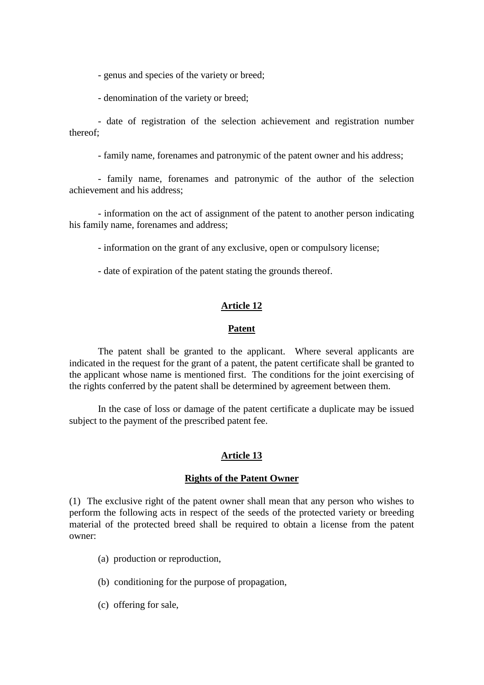- genus and species of the variety or breed;

- denomination of the variety or breed;

- date of registration of the selection achievement and registration number thereof;

-familyname, forenames and patronymic of the patent owner and his address;

- family name, forenames and patronymic of the author of the selection achievement and his address:

- information on the act of assignment of the patent to another person indicating his family name, for enames and address;

-information on the grant of any excl usive, open or compulsory license;

-date of expiration of the patent stating the grounds thereof.

# **Article 12**

#### **Patent**

The patent shall be granted to the applicant. Where several applicants are indicated in the request for the grant of a patent, the patent certificates hall be granted to the applicant whose name is mentioned first. The conditions for the joint exercising of the rights conferred by the patent shall be determined by agreement between them.

In the case of loss ordamage of the patent certificate a duplicate may be issued subject to the payment of the prescribed patent fee.

# **Article 13**

#### **Rights of the Patent Owner**

(1) The exclusive right of the patent owner shall mean that any person who wishes to perform the following acts in respect of the seeds of the protected variety or breeding material of the protected breed shall be required to obtain a license from the patent owner:

(a) production or reproduction,

(b) conditioning for the purpose of propagation,

(c) offering for sale,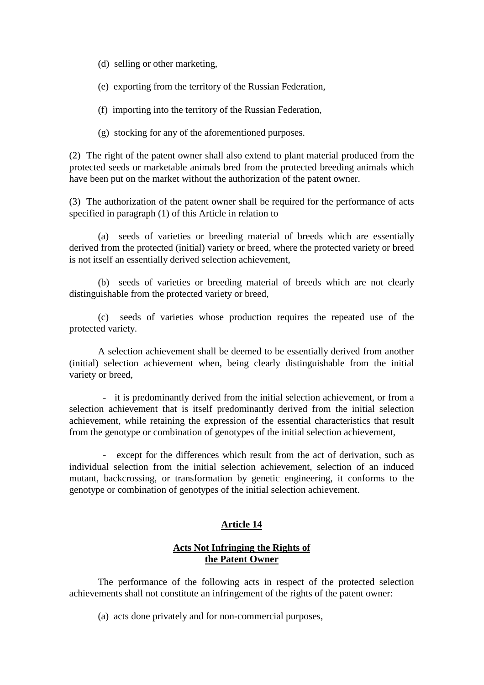(d) selling or other marketing,

(e) exporting from the territory of the Russian Federation,

(f) importing into the territory of the Russian Federation,

(g) stocking for any of the aforementioned purposes.

(2) The right of the patent owner shall also extend to plant material produced from the protected seeds or marketable animals bred from the protected breeding animals which have been put on the market without the authorization of the patent owner.

(3) The authorization of the patent owner shall be required for the performance of acts specified in paragraph (1) of this Article in relation to

(a) seeds of varieties or breeding material of breeds which are essentially derived from the protected (initial) variety or breed, where the protected variety or breed is notits elfan essentially derived selection achievement,

(b) seeds of varieties or breeding material of breeds which are not clearly distinguishable from the protected variety or breed,

(c) seeds of varieties whose production re quires the repeated use of the protected variety.

A selection achievement shall be deemed to be essentially derived from another (initial) selection achievement when, being clearly distinguishable from the initial variety or breed,

- it is predominantly derived from the initial selection achievement, or from a selection achievement that is itself predominantly derived from the initial selection achievement, while retaining the expression of the essential characteristics that result from the genotype or combination of genotypes of the initial selection achievement,

- except for the differences which result from the act of derivation, such as individual selection from the initial selection achievement, selection of an induced mutant, backcrossing, or transformation by genetic engineering, it conforms to the genotype or combination of genotypes of the initial selection achievement.

# **Article 14**

# **Acts Not Infringing the Rights of the Patent Owner**

The performance of the following acts in respect of the protected selection achievements shall not constitute an infringement of the rights of the patent owner:

(a) acts done privately and for non -commercial purposes,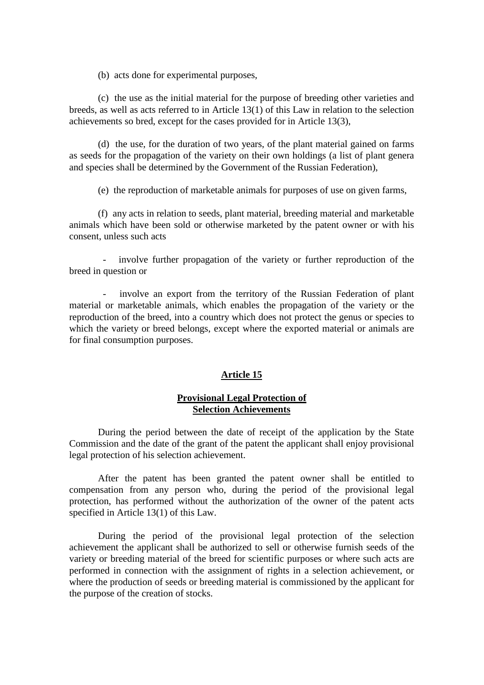(b) acts done for experimental purposes,

(c) the use as the initial material for the purpose of breeding other varieties and breeds, as well as acts referred to in Article 13(1) of this Law in relation to the selection achievements so bred, except for the cases provided for in Article 13(3),

(d) the use, for the duration of two yea rs, of the plant material gained on farms as seeds for the propagation of the variety on their own holdings (a list of plant genera and species shall be determined by the Government of the Russian Federation),

(e) the reproduction of marketable animals for purposes of use on given farms,

(f) any acts in relation to seeds, plant material, breeding material and marketable animals which have been sold or otherwise marketed by the patent owner or with his consent, unless such acts

- involve further propagation of the variety or further reproduction of the breed inquestion or

- involve an export from the territory of the Russian Federation of plant material or marketable animals, which enables the propagation of the variety or the reproduction of the breed, into a country which does not protect the genus or species to which the variety or breed belongs, except where the exported material or animals are for final consumption purposes.

# **Article 15**

# **Provisional Legal Protection of Selection Achiev ements**

During the period between the date of receipt of the application by the State Commission and the date of the grant of the patent the applicant shall enjoy provisional legal protection of his selection achievement.

After the patent has been granted the patent owner shall be entitled to compensation from any person who, during the period of the provisional legal protection, has performed without the authorization of the owner of the patent acts specified in Article 13(1) of this Law.

During the p eriod of the provisional legal protection of the selection achievement the applicant shall be authorized to sell or otherwise furnish seeds of the variety or breeding material of the breed for scientific purposes or where such acts are performed in connection with the assignment of rights in a selection achievement, or where the production of seeds or breeding material is commissioned by the applicant for the purpose of the creation of stocks.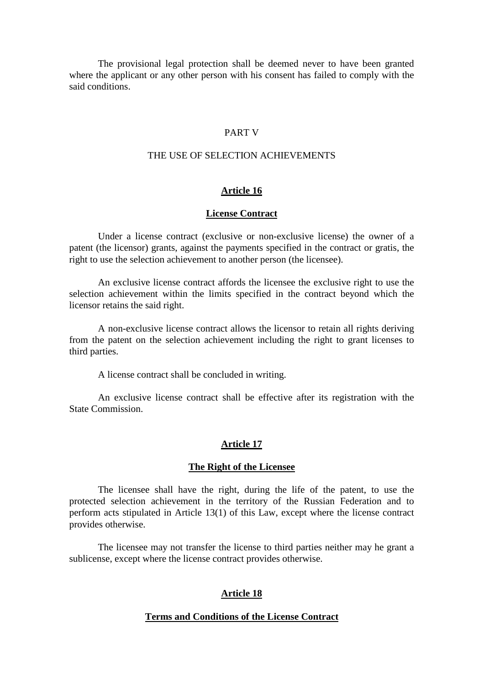The provisional legal protection shall be deemed never to have been granted where the applicant or any other person with his consent has failed to comply with the said conditions.

# **PARTV**

# THEUSEOFSELECTION ACHIEVEMENTS

# Article<sub>16</sub>

# **License Contract**

Under a license contract (exclusive or non -exclusive license) the owner of a patent (the licensor) grants, against the payments specified in the contract or gratis, the righttousetheselection achievement to another person (the licensee).

An exclusive license contract affords the licensee the exclusive right two use the selection achievement within the limits specified in the contract beyond which the licensorretains the said right.

A non -exclusive license contract allows the licensor to retain all rights deriving from the patent on the selection achievement including the right to grant licenses to third parties.

Alicense contracts hall be concluded in writing.

An exclusive license contract shall be effective after its registration with the StateCommission.

# **Article 17**

#### **The Right of the Licensee**

The l icensee shall have the right, during the life of the patent, to use the protected selection achievement in the territory of the Russian Federation and to perform acts stipulated in Article 13(1) of this Law, except where the license contract provides otherwise.

The licensee may not transfer the license to third parties neither may he grant a sublicense, except where the license contract provides otherwise.

# **Article 18**

# **Terms and Conditions of the License Contract**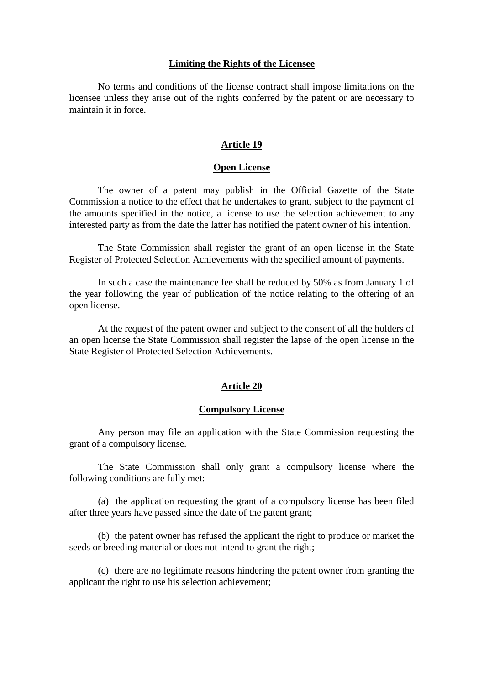#### **Limiting the Rights of the Licensee**

No terms and conditions of the license contract shall impose limitations on the licensee unless they arise out of the rights conferred by the patent or are necessary to maintainit inforce.

# **Article 19**

### **Open License**

The owner of a patent may publish in the Official Gazette of the State Commission a notice to the effect that he undertakes to grant, subject to the payment of the amounts specified in the notice, a license to use the selection achievement to any interested party as from the date the latter has notified the patent owner of his intention.

The State Commission shall register the grant of an open license in the State Register of Protected Selection Achievements with the specified amount of payments.

In such a case the maintenance fee shall be reduced by 50% as from January 1 of the year following the year of publication of the notice relating to the offering of an openlicense.

Attherequest of the patent owner and subject to the consent of all the holders of an open license the State Commiss ion shall register the lapse of the open license in the StateRegisterofProtectedSelectionAchievements.

# **Article 20**

#### **Compulsory License**

Any person may file an application with the State Commission requesting the grant of a compulsory license.

The State Commission shall only grant a compulsory license where the following conditions are fully met:

(a) the application requesting the grant of a compulsory license has been filed after three years have passed since the date of the patent grant;

(b) the patent owner has refused the applicant the right to produce or market the seeds or breeding material or does not intend to grant the right;

(c) there are no legitimate reasons hindering the patent owner from granting the applicant the right to use his selection achievement;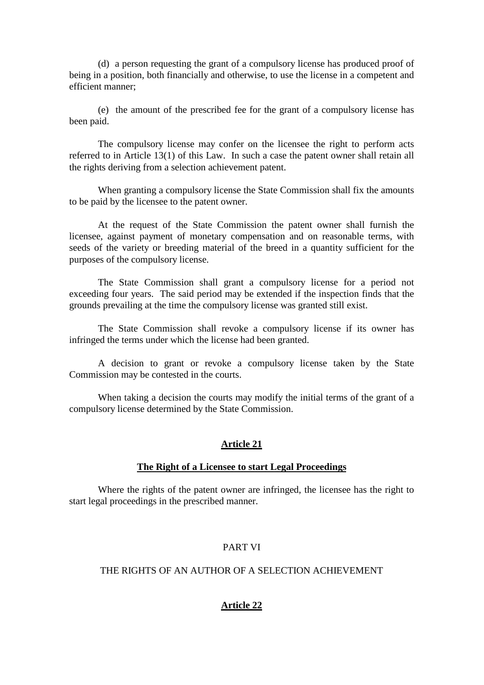(d) a person requesting the grant of a compulsory license has produced proof of being inaposition, both financially and otherwise, to use the license in a competent and efficient manner:

 $(e)$  the amount of the prescribed f ee for the grant of a compulsory license has been paid.

The compulsory license may confer on the licensee the right to perform acts referred to in Article 13(1) of this Law. In such a case the patent owner shall retain all the rights deriving from a selection achievement patent.

When granting a compulsory license the State Commissions hall fix the amounts to be paid by the licensee to the patent owner.

At the request of the State Commission the patent owner shall furnish the licensee, against payment of monetary compensation and on reasonable terms, with seeds of the variety or breeding material of the breed in a quantity sufficient for the purposes of the compulsory license.

The State Commission shall grant a compulsory license for a period not exceeding four years. The said period may be extended if the inspection finds that the grounds prevailing at the time the compulsory license was granted still exist.

The State Commission shall revoke a compulsory license if its owner has infringed the term sunder which the license had been granted.

A decision to grant or revoke a compulsory license taken by the State Commission may be contested in the courts.

When taking a decision the courts may modify the initial terms of the grant of a compulsory license determined by the State Commission.

# **Article 21**

#### **The Right of a Licensee to start Legal Proceedings**

Where the rights of the patent owner are infringed, the licensee has the right to startlegal proceedings in the prescribed manner.

# **PARTVI**

# THE RIGHTS OF AN AUTHOR OF A SELECTION A CHIEVEMENT

# **Article 22**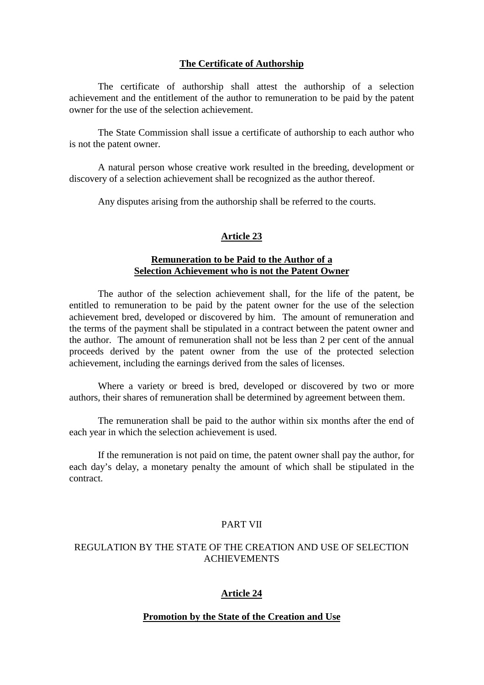# **The Certificate of Authorship**

The certificate of authorship shall attest the authorship of a selection achievement and the entitlement of the author to remuneration to be paid by the patent ownerfortheuse of the selection achievement.

The State Commission shall issue a certificate of authorship to each author who is not the patent owner.

A natural person whose creative work resulted in the breeding, development or discovery of a selection achievement shall be recognized as the author thereof.

Any disputes arising from the authorship shall be referred to the courts.

# **Article 23**

# **Remuneration to be Paid to the Author of a Selection Achievement who is not the Patent Owner**

The author of the selection achievement shall, for the life of the patent, be entitled to remuneration to be paid by the patent owner for the use of the selection achievement bred, developed or discovered by him. The amount of remuneration and the terms of the payments hall be stipulated in a contract between the patent owner and the author. The amount of remuneration shall not be less than 2 per cent of the annual proceeds derived by the patent owner from the use of the protected selection achievement, including the earnings derived from the sales of licenses.

Where a variety or breed is bred, developed or discovered by two or more authors, their shares of remuneration shall be determined by agreement between them.

The remuneration shall be paid to the author within six months after the end of each year in which these lection achievement is used.

If the remuneration is not paid on time, the patent ownershall pay the author, for each day's delay, a monetary penalty the amount of which shall be stipulated in the contract.

# **PARTVII**

# REGULATIONBYTHESTATEOFTHECREATION AND USE OF SELECTION ACHIEVEMENTS

# **Article 24**

# **Promotion by the State of the Creation and Use**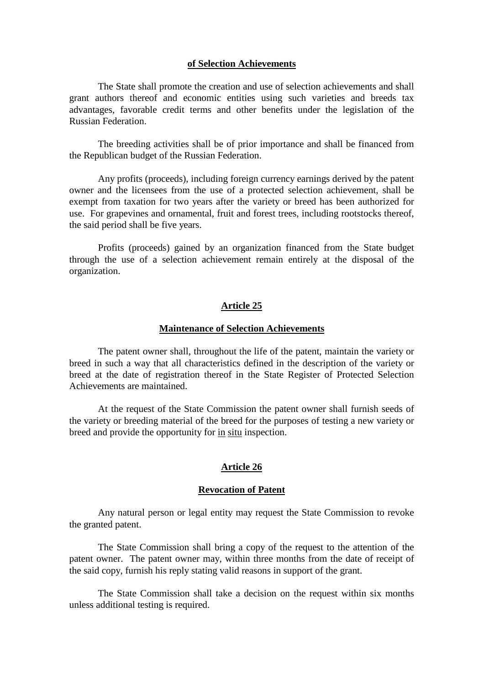#### **of Selection Achievements**

The State shall promote the creation and use of selection achievements an d shall grant authors thereof and economic entities using such varieties and breeds tax advantages, favorable credit terms and other benefits under the legislation of the Russian Federation.

The breeding activities shall be of prior importance and shall be financed from the Republican budget of the Russian Federation.

Any profits (proceeds), including foreign currency earnings derived by the patent owner and the licensees from the use of a protected selection achievement, shall be exempt from taxation f or two years after the variety or breed has been authorized for use. For grapevines and ornamental, fruit and for est trees, including roots to cks thereof, the said period shall be five years.

Profits (proceeds) gained by an organization financed from the State budget through the use of a selection achievement remain entirely at the disposal of the organization.

#### **Article 25**

#### **Maintenance of Selection Achievements**

The patent owner shall, throughout the life of the patent, maintain the variety or breed in such a way that all characteristics defined in the description of the variety or breed at the date of registration thereof in the State Register of Protected Selection Achievements are maintained.

At the request of the State Commission the patent owner shall furnish seeds of the variety or breeding material of the breed for the purposes of testing a new variety or breed and provide the opportunity for in situ inspection.

#### **Article 26**

#### **Revocation of Patent**

Any natural person or legal entity may request the State Commission to revoke the granted patent.

The State Commission shall bring a copy of the request to the attention of the patent owner. The patent owner may, within three months from the date of receipt of the said copy, furnish his reply stating valid reasons in support of the grant.

The State Commission shall take a decision on the request within six months unless additional testing is required.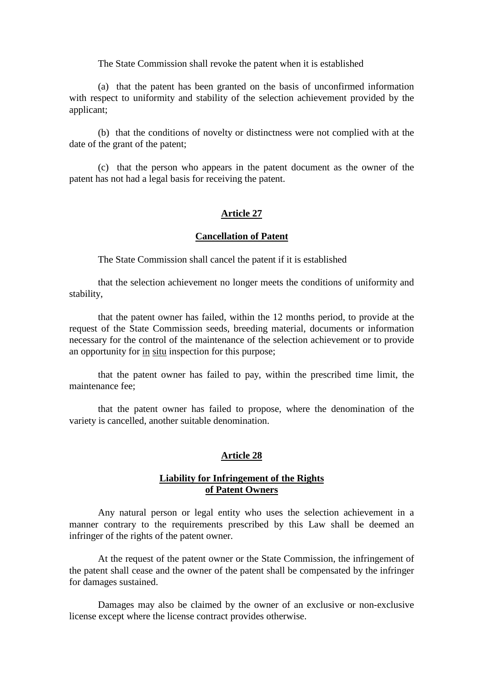The State Commission shall revoke the patent when it is established

(a) that the patent has b een granted on the basis of unconfirmed information with respect to uniformity and stability of the selection achievement provided by the applicant;

(b) that the conditions of novelty or distinctness were not complied with at the date of the grant of the patent;

(c) that the person who appears in the patent document as the owner of the patent has not had a legal basis for receiving the patent.

# **Article 27**

#### **Cancellation of Patent**

The State Commission shall cancel the patent if it is established

that the selection achievement no longer meets the conditions of uniformity and stability,

that the patent owner has failed, within the 12 months period, to provide at the request of the State Commission seeds, breeding material, documents or information necessary for the control of the maintenance of the selection achievement or to provide an opportunity for in situin spection for this purpose;

that the patent owner has failed to pay, within the prescribed time limit, the maintenance fee:

that the pat ent owner has failed to propose, where the denomination of the variety is cancelled, another suitable denomination.

#### **Article 28**

# **Liability for Infringement of the Rights of Patent Owners**

Any natural person or legal entity who uses the selection achievement in a manner contrary to the requirements prescribed by this Law shall be deemed an infringer of the rights of the patent owner.

At the request of the patent owner or the State Commission, the infringement of the patent shall cease and the owner of th e patent shall be compensated by the infringer fordamages sustained.

Damages may also be claimed by the owner of an exclusive or non -exclusive license except where the license contract provides otherwise.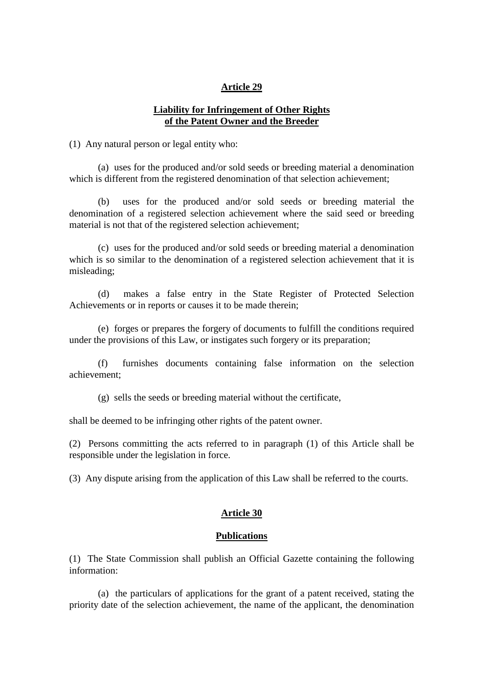# **Article 29**

# Liability for Infringement of Other Rights **of the Patent Owner and the Breeder**

(1) Any natural person or legal entity who:

(a) uses for the produced and/or sold seeds or breeding material a denomination which is different from the registered denomination of that selection achievement;

(b) uses for the produced and/or sold seeds or breeding material the denomination of a registered selection achievement where the said seed or breeding materialisnotthat of the registered selection achievement;

(c) uses for the produced and/or sold seeds or breeding material a denomination which is so similar to the denomination of a registered selection achievement that it is misleading;

(d) makes a false entry in the State Register of Protected Selection Achievements or in reports or causes i to be made therein;

(e) forges or prepares the forgery of documents to fulfill the conditions required under the provisions of this Law, or instigates such for gery or its preparation;

(f) furnishes documents containing false information on the selection achievement;

(g) sells the seeds or breeding material without the certificate,

shall be deemed to be infringing other rights of the patent owner.

(2) Persons committing the acts referred to in paragraph (1) of this Article shall be responsible under the legislation in force.

(3) Any dispute arising from the application of this Law shall be referred to the courts.

#### **Article 30**

#### **Publications**

(1) The State Commission shall publish an Official Gazette containing the following information:

(a) the particulars of applications for the grant of a patent received, stating the priority date of the selection achievement, the name of the applicant, the denomination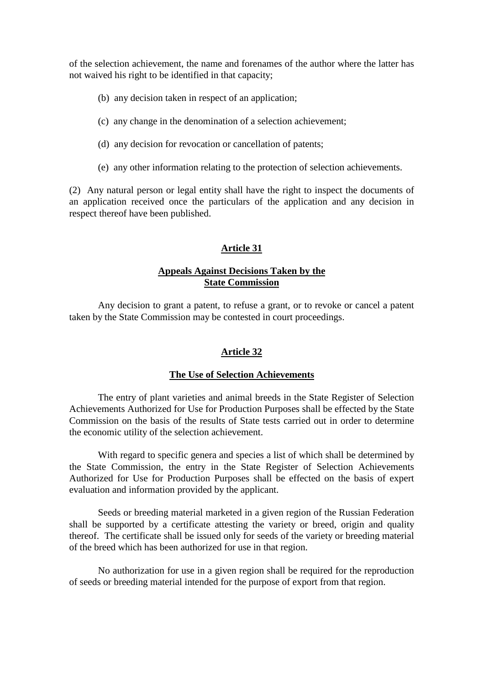of the selection achievement, the name and forenames of the author where the latter has not waived his right to be identified in that capacity;

(b) any decision taken in respect of an application;

(c) any change in the denomination of a selection achievement;

(d) any decision for revocation or cancellation of patents;

(e) any other information relating to the protection of selection achievements.

(2) Any natural person or legal entity shall have the right to inspect the documents of an application received once the particulars of the application and any decision in respect there of have been published.

# **Article 31**

# **Appeals Against Decisions Taken by the State Commission**

Any decision to grant a patent, to refuse a grant, or to revoke or cancel a patent taken by the State Commission may be contested in court proceedings.

# **Article 32**

# **The Use of Selection Achievements**

The entry of plant varieties and animal breeds in the State Register of Selection Achievements Authorized for Use for Production Purposes shall be effected by the State Commission on the basis of the results of Sta tests carried out in order to determine the economic utility of the selection achievement.

With regard to specific genera and species a list of which shall be determined by the State Commission, the entry in the State Register of Selection Achievements Authorized for Use for Production Purposes shall be effected on the basis of expert evaluation and information provided by the applicant.

Seeds or breeding material marketed in a given region of the Russian Federation shall be supported by a certificat e attesting the variety or breed, origin and quality thereof. The certificates hall be issued only for seeds of the variety or breeding material of the breed which has been authorized for use in that region.

No authorization for use in a given region shall be required for the reproduction of seeds or breeding material intended for the purpose of export from that region.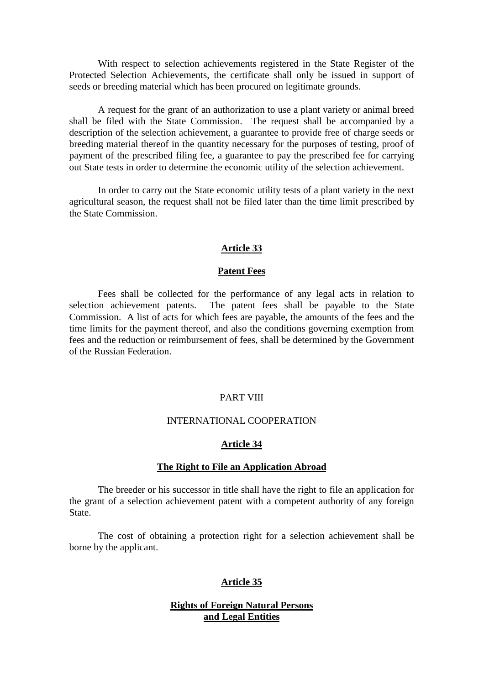With respect to selection achievements registered in the State Register of the Protected Selection Achievements, the certificate shall only be issued in support of seeds or breeding material which has been procured on legitimate grounds.

A request for the grant of an authorization to use a plant variety or an imal breed shall be filed with the State Commission. The request shall be accompanied by a description of the selection achievement, a guarantee to provide free of charge seeds or breeding material thereof in the quantity necessary for the purposes of testing, proof of payment of the prescribed filing fee, a guarantee to pay the pr escribed fee for carrying out State tests in order to determine the economic utility of the selection achievement.

In order to carry out the State economic utility tests of a plant variety in the next agricultural season, the request shall not be filed later than the time limit prescribed by the State Commission.

# **Article 33**

# **Patent Fees**

Fees shall be collected for the performance of any legal acts in relation to selection achievement patents. The patent fees shall be payable to the State Commission. A list of acts for which fees are payable, the amounts of the fees and the time limits for the payment thereof, and also the conditions governing exemption from fees and the reduction or reimbursement of fees, shall be determined by the Government of the Russian Federation.

#### **PARTVIII**

#### **INTERNATIONAL COOPERATION**

# **Article 34**

### **The Right to File an Application Abroad**

The breeder or his successor in title shall have the right to file an application for the grant of a selection achievement patent with a comp etent authority of any foreign State.

The cost of obtaining a protection right for a selection achievement shall be borne by the applicant.

# **Article 35**

# **Rights of Foreign Natural Persons and Legal Entities**